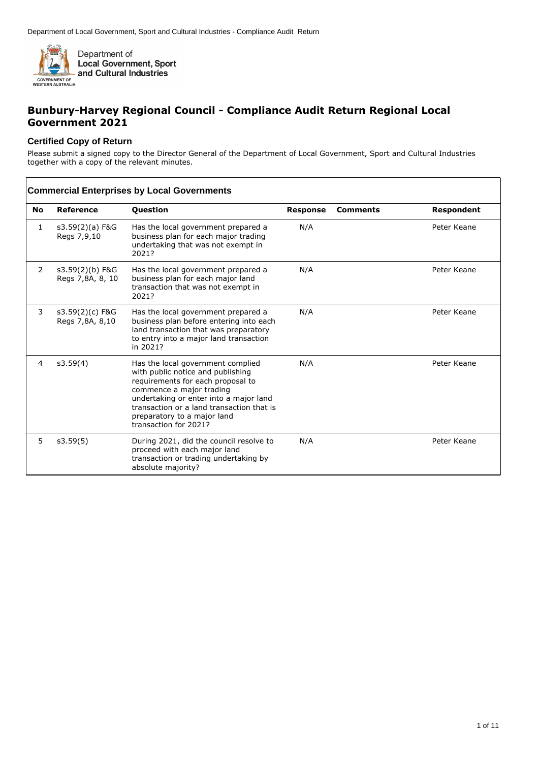

## **Bunbury-Harvey Regional Council - Compliance Audit Return Regional Local Government 2021**

#### **Certified Copy of Return**

 $\sqrt{ }$ 

Please submit a signed copy to the Director General of the Department of Local Government, Sport and Cultural Industries together with a copy of the relevant minutes.

|                | <b>Commercial Enterprises by Local Governments</b> |                                                                                                                                                                                                                                                                                        |                 |                 |             |  |
|----------------|----------------------------------------------------|----------------------------------------------------------------------------------------------------------------------------------------------------------------------------------------------------------------------------------------------------------------------------------------|-----------------|-----------------|-------------|--|
| No             | <b>Reference</b>                                   | <b>Question</b>                                                                                                                                                                                                                                                                        | <b>Response</b> | <b>Comments</b> | Respondent  |  |
| 1              | $s3.59(2)(a)$ F&G<br>Regs 7,9,10                   | Has the local government prepared a<br>business plan for each major trading<br>undertaking that was not exempt in<br>2021?                                                                                                                                                             | N/A             |                 | Peter Keane |  |
| $\overline{2}$ | s3.59(2)(b) F&G<br>Regs 7,8A, 8, 10                | Has the local government prepared a<br>business plan for each major land<br>transaction that was not exempt in<br>2021?                                                                                                                                                                | N/A             |                 | Peter Keane |  |
| 3              | s3.59(2)(c) F&G<br>Regs 7,8A, 8,10                 | Has the local government prepared a<br>business plan before entering into each<br>land transaction that was preparatory<br>to entry into a major land transaction<br>in 2021?                                                                                                          | N/A             |                 | Peter Keane |  |
| 4              | s3.59(4)                                           | Has the local government complied<br>with public notice and publishing<br>requirements for each proposal to<br>commence a major trading<br>undertaking or enter into a major land<br>transaction or a land transaction that is<br>preparatory to a major land<br>transaction for 2021? | N/A             |                 | Peter Keane |  |
| 5.             | s3.59(5)                                           | During 2021, did the council resolve to<br>proceed with each major land<br>transaction or trading undertaking by<br>absolute majority?                                                                                                                                                 | N/A             |                 | Peter Keane |  |

٦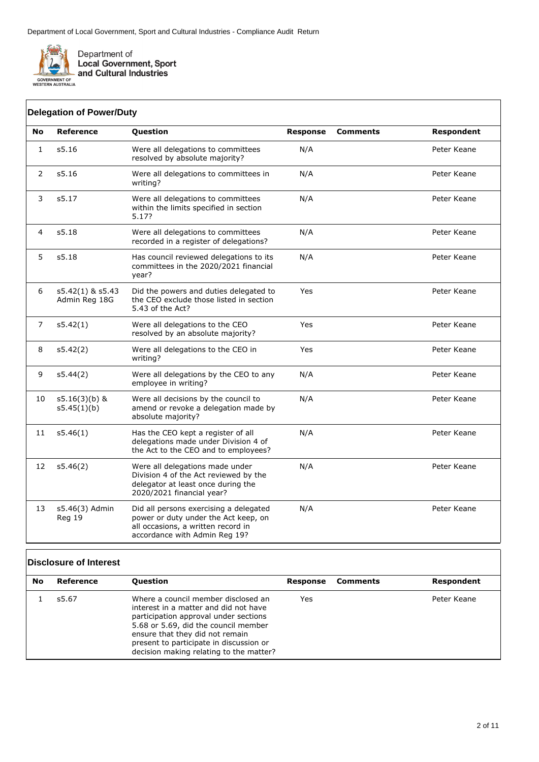

| No             | <b>Reference</b>                  | Question                                                                                                                                              | <b>Response</b> | <b>Comments</b> | <b>Respondent</b> |
|----------------|-----------------------------------|-------------------------------------------------------------------------------------------------------------------------------------------------------|-----------------|-----------------|-------------------|
| $\mathbf{1}$   | s5.16                             | Were all delegations to committees<br>resolved by absolute majority?                                                                                  | N/A             |                 | Peter Keane       |
| 2              | s5.16                             | Were all delegations to committees in<br>writing?                                                                                                     | N/A             |                 | Peter Keane       |
| 3              | s5.17                             | Were all delegations to committees<br>within the limits specified in section<br>5.17?                                                                 | N/A             |                 | Peter Keane       |
| $\overline{4}$ | s5.18                             | Were all delegations to committees<br>recorded in a register of delegations?                                                                          | N/A             |                 | Peter Keane       |
| 5              | s5.18                             | Has council reviewed delegations to its<br>committees in the 2020/2021 financial<br>year?                                                             | N/A             |                 | Peter Keane       |
| 6              | s5.42(1) & s5.43<br>Admin Reg 18G | Did the powers and duties delegated to<br>the CEO exclude those listed in section<br>5.43 of the Act?                                                 | Yes             |                 | Peter Keane       |
| 7              | s5.42(1)                          | Were all delegations to the CEO<br>resolved by an absolute majority?                                                                                  | Yes             |                 | Peter Keane       |
| 8              | s5.42(2)                          | Were all delegations to the CEO in<br>writing?                                                                                                        | Yes             |                 | Peter Keane       |
| 9              | s5.44(2)                          | Were all delegations by the CEO to any<br>employee in writing?                                                                                        | N/A             |                 | Peter Keane       |
| 10             | $s5.16(3)(b)$ &<br>s5.45(1)(b)    | Were all decisions by the council to<br>amend or revoke a delegation made by<br>absolute majority?                                                    | N/A             |                 | Peter Keane       |
| 11             | s5.46(1)                          | Has the CEO kept a register of all<br>delegations made under Division 4 of<br>the Act to the CEO and to employees?                                    | N/A             |                 | Peter Keane       |
| 12             | s5.46(2)                          | Were all delegations made under<br>Division 4 of the Act reviewed by the<br>delegator at least once during the<br>2020/2021 financial year?           | N/A             |                 | Peter Keane       |
| 13             | s5.46(3) Admin<br>Reg 19          | Did all persons exercising a delegated<br>power or duty under the Act keep, on<br>all occasions, a written record in<br>accordance with Admin Reg 19? | N/A             |                 | Peter Keane       |

# **Disclosure of Interest**

| No | Reference | <b>Question</b>                                                                                                                                                                                                                                                                        | Response | Comments | Respondent  |
|----|-----------|----------------------------------------------------------------------------------------------------------------------------------------------------------------------------------------------------------------------------------------------------------------------------------------|----------|----------|-------------|
|    | s5.67     | Where a council member disclosed an<br>interest in a matter and did not have<br>participation approval under sections<br>5.68 or 5.69, did the council member<br>ensure that they did not remain<br>present to participate in discussion or<br>decision making relating to the matter? | Yes      |          | Peter Keane |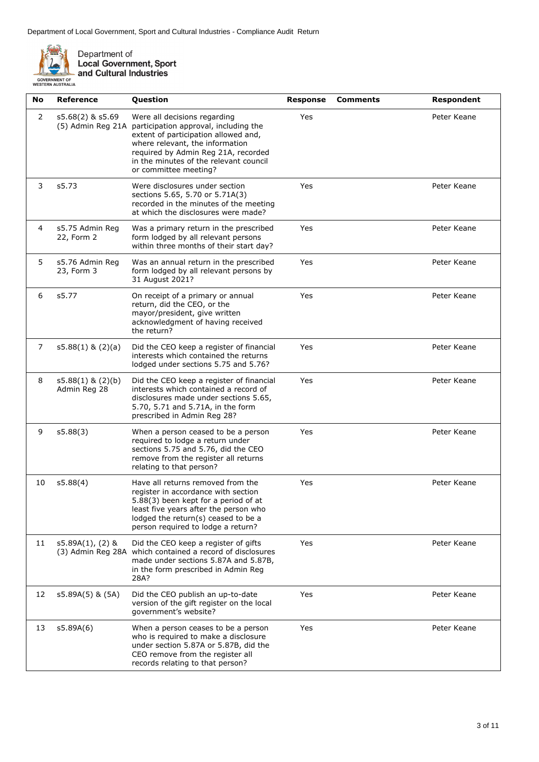

Department of<br>Local Government, Sport<br>and Cultural Industries

| No | <b>Reference</b>                      | Question                                                                                                                                                                                                                                                   | <b>Response</b> | <b>Comments</b> | Respondent  |
|----|---------------------------------------|------------------------------------------------------------------------------------------------------------------------------------------------------------------------------------------------------------------------------------------------------------|-----------------|-----------------|-------------|
| 2  | s5.68(2) & s5.69<br>(5) Admin Reg 21A | Were all decisions regarding<br>participation approval, including the<br>extent of participation allowed and,<br>where relevant, the information<br>required by Admin Reg 21A, recorded<br>in the minutes of the relevant council<br>or committee meeting? | Yes             |                 | Peter Keane |
| 3  | s5.73                                 | Were disclosures under section<br>sections 5.65, 5.70 or 5.71A(3)<br>recorded in the minutes of the meeting<br>at which the disclosures were made?                                                                                                         | Yes             |                 | Peter Keane |
| 4  | s5.75 Admin Reg<br>22, Form 2         | Was a primary return in the prescribed<br>form lodged by all relevant persons<br>within three months of their start day?                                                                                                                                   | Yes             |                 | Peter Keane |
| 5  | s5.76 Admin Reg<br>23, Form 3         | Was an annual return in the prescribed<br>form lodged by all relevant persons by<br>31 August 2021?                                                                                                                                                        | Yes             |                 | Peter Keane |
| 6  | s5.77                                 | On receipt of a primary or annual<br>return, did the CEO, or the<br>mayor/president, give written<br>acknowledgment of having received<br>the return?                                                                                                      | Yes             |                 | Peter Keane |
| 7  | $s5.88(1)$ & $(2)(a)$                 | Did the CEO keep a register of financial<br>interests which contained the returns<br>lodged under sections 5.75 and 5.76?                                                                                                                                  | Yes             |                 | Peter Keane |
| 8  | $s5.88(1)$ & $(2)(b)$<br>Admin Reg 28 | Did the CEO keep a register of financial<br>interests which contained a record of<br>disclosures made under sections 5.65,<br>5.70, 5.71 and 5.71A, in the form<br>prescribed in Admin Reg 28?                                                             | Yes             |                 | Peter Keane |
| 9  | s5.88(3)                              | When a person ceased to be a person<br>required to lodge a return under<br>sections 5.75 and 5.76, did the CEO<br>remove from the register all returns<br>relating to that person?                                                                         | Yes             |                 | Peter Keane |
| 10 | s5.88(4)                              | Have all returns removed from the<br>register in accordance with section<br>5.88(3) been kept for a period of at<br>least five years after the person who<br>lodged the return(s) ceased to be a<br>person required to lodge a return?                     | Yes             |                 | Peter Keane |
| 11 | $s5.89A(1)$ , (2) &                   | Did the CEO keep a register of gifts<br>(3) Admin Reg 28A which contained a record of disclosures<br>made under sections 5.87A and 5.87B,<br>in the form prescribed in Admin Reg<br>28A?                                                                   | Yes             |                 | Peter Keane |
| 12 | s5.89A(5) & (5A)                      | Did the CEO publish an up-to-date<br>version of the gift register on the local<br>government's website?                                                                                                                                                    | Yes             |                 | Peter Keane |
| 13 | s5.89A(6)                             | When a person ceases to be a person<br>who is required to make a disclosure<br>under section 5.87A or 5.87B, did the<br>CEO remove from the register all<br>records relating to that person?                                                               | Yes             |                 | Peter Keane |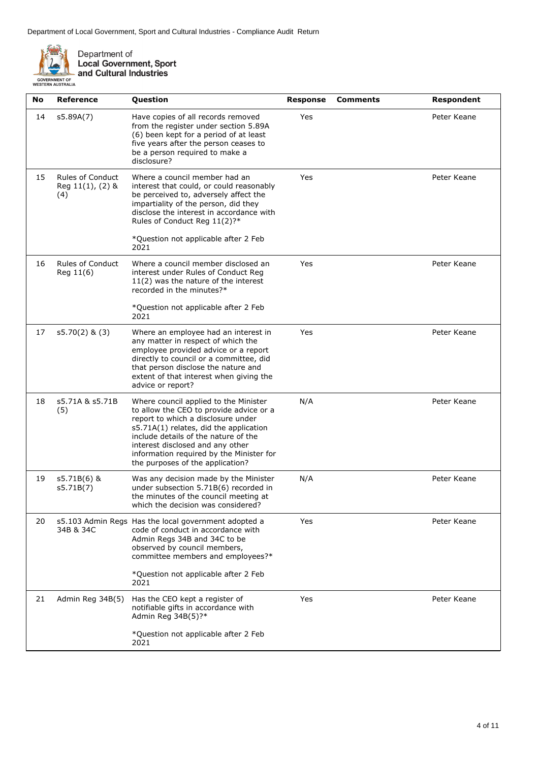

Department of<br>Local Government, Sport<br>and Cultural Industries

| No | <b>Reference</b>                                   | Question                                                                                                                                                                                                                                                                                                                     | <b>Response</b> | <b>Comments</b> | Respondent  |
|----|----------------------------------------------------|------------------------------------------------------------------------------------------------------------------------------------------------------------------------------------------------------------------------------------------------------------------------------------------------------------------------------|-----------------|-----------------|-------------|
| 14 | s5.89A(7)                                          | Have copies of all records removed<br>from the register under section 5.89A<br>(6) been kept for a period of at least<br>five years after the person ceases to<br>be a person required to make a<br>disclosure?                                                                                                              | Yes             |                 | Peter Keane |
| 15 | <b>Rules of Conduct</b><br>Reg 11(1), (2) &<br>(4) | Where a council member had an<br>interest that could, or could reasonably<br>be perceived to, adversely affect the<br>impartiality of the person, did they<br>disclose the interest in accordance with<br>Rules of Conduct Reg 11(2)?*                                                                                       | Yes             |                 | Peter Keane |
|    |                                                    | *Question not applicable after 2 Feb<br>2021                                                                                                                                                                                                                                                                                 |                 |                 |             |
| 16 | <b>Rules of Conduct</b><br>Reg 11(6)               | Where a council member disclosed an<br>interest under Rules of Conduct Reg<br>$11(2)$ was the nature of the interest<br>recorded in the minutes?*                                                                                                                                                                            | Yes             |                 | Peter Keane |
|    |                                                    | *Question not applicable after 2 Feb<br>2021                                                                                                                                                                                                                                                                                 |                 |                 |             |
| 17 | $s5.70(2)$ & (3)                                   | Where an employee had an interest in<br>any matter in respect of which the<br>employee provided advice or a report<br>directly to council or a committee, did<br>that person disclose the nature and<br>extent of that interest when giving the<br>advice or report?                                                         | Yes             |                 | Peter Keane |
| 18 | s5.71A & s5.71B<br>(5)                             | Where council applied to the Minister<br>to allow the CEO to provide advice or a<br>report to which a disclosure under<br>s5.71A(1) relates, did the application<br>include details of the nature of the<br>interest disclosed and any other<br>information required by the Minister for<br>the purposes of the application? | N/A             |                 | Peter Keane |
| 19 | s5.71B(6) &<br>s5.71B(7)                           | Was any decision made by the Minister<br>under subsection 5.71B(6) recorded in<br>the minutes of the council meeting at<br>which the decision was considered?                                                                                                                                                                | N/A             |                 | Peter Keane |
| 20 | 34B & 34C                                          | s5.103 Admin Regs Has the local government adopted a<br>code of conduct in accordance with<br>Admin Regs 34B and 34C to be<br>observed by council members,<br>committee members and employees?*<br>*Question not applicable after 2 Feb                                                                                      | Yes             |                 | Peter Keane |
|    |                                                    | 2021                                                                                                                                                                                                                                                                                                                         |                 |                 |             |
| 21 | Admin Reg 34B(5)                                   | Has the CEO kept a register of<br>notifiable gifts in accordance with<br>Admin Reg 34B(5)?*                                                                                                                                                                                                                                  | Yes             |                 | Peter Keane |
|    |                                                    | *Question not applicable after 2 Feb<br>2021                                                                                                                                                                                                                                                                                 |                 |                 |             |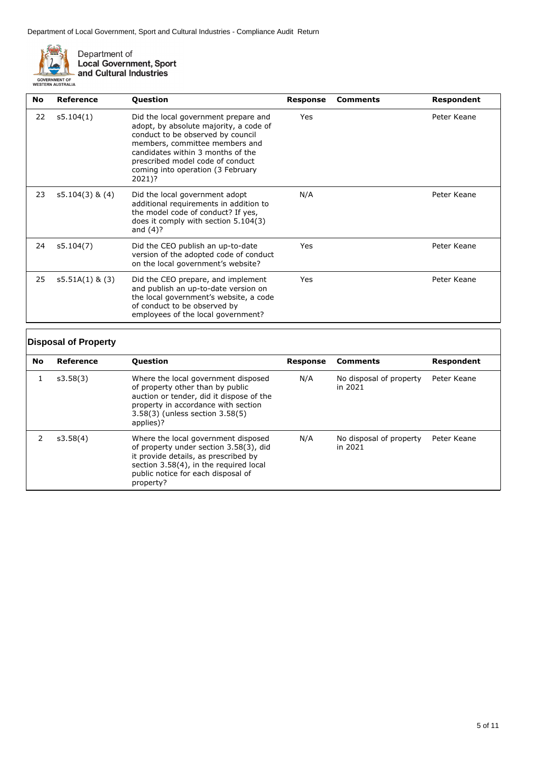

Department of<br>Local Government, Sport<br>and Cultural Industries

| <b>No</b> | Reference         | Question                                                                                                                                                                                                                                                                      | Response | <b>Comments</b> | <b>Respondent</b> |
|-----------|-------------------|-------------------------------------------------------------------------------------------------------------------------------------------------------------------------------------------------------------------------------------------------------------------------------|----------|-----------------|-------------------|
| 22        | s5.104(1)         | Did the local government prepare and<br>adopt, by absolute majority, a code of<br>conduct to be observed by council<br>members, committee members and<br>candidates within 3 months of the<br>prescribed model code of conduct<br>coming into operation (3 February<br>2021)? | Yes      |                 | Peter Keane       |
| 23        | $s5.104(3)$ & (4) | Did the local government adopt<br>additional requirements in addition to<br>the model code of conduct? If yes,<br>does it comply with section $5.104(3)$<br>and $(4)$ ?                                                                                                       | N/A      |                 | Peter Keane       |
| 24        | s5.104(7)         | Did the CEO publish an up-to-date<br>version of the adopted code of conduct<br>on the local government's website?                                                                                                                                                             | Yes      |                 | Peter Keane       |
| 25        | $s5.51A(1)$ & (3) | Did the CEO prepare, and implement<br>and publish an up-to-date version on<br>the local government's website, a code<br>of conduct to be observed by<br>employees of the local government?                                                                                    | Yes      |                 | Peter Keane       |

# **Disposal of Property**

| <b>No</b> | Reference | <b>Question</b>                                                                                                                                                                                                    | Response | <b>Comments</b>                    | Respondent  |
|-----------|-----------|--------------------------------------------------------------------------------------------------------------------------------------------------------------------------------------------------------------------|----------|------------------------------------|-------------|
|           | s3.58(3)  | Where the local government disposed<br>of property other than by public<br>auction or tender, did it dispose of the<br>property in accordance with section<br>3.58(3) (unless section 3.58(5)<br>applies)?         | N/A      | No disposal of property<br>in 2021 | Peter Keane |
|           | s3.58(4)  | Where the local government disposed<br>of property under section 3.58(3), did<br>it provide details, as prescribed by<br>section 3.58(4), in the required local<br>public notice for each disposal of<br>property? | N/A      | No disposal of property<br>in 2021 | Peter Keane |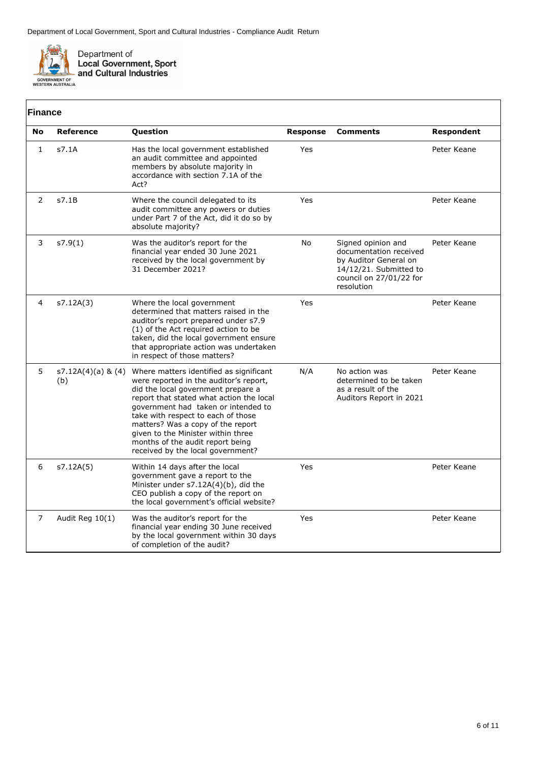

| <b>Finance</b> |                           |                                                                                                                                                                                                                                                                                                                                                                                                      |                 |                                                                                                                                          |                   |
|----------------|---------------------------|------------------------------------------------------------------------------------------------------------------------------------------------------------------------------------------------------------------------------------------------------------------------------------------------------------------------------------------------------------------------------------------------------|-----------------|------------------------------------------------------------------------------------------------------------------------------------------|-------------------|
| No             | Reference                 | Question                                                                                                                                                                                                                                                                                                                                                                                             | <b>Response</b> | <b>Comments</b>                                                                                                                          | <b>Respondent</b> |
| $\mathbf{1}$   | s7.1A                     | Has the local government established<br>an audit committee and appointed<br>members by absolute majority in<br>accordance with section 7.1A of the<br>Act?                                                                                                                                                                                                                                           | Yes             |                                                                                                                                          | Peter Keane       |
| $\overline{2}$ | s7.1B                     | Where the council delegated to its<br>audit committee any powers or duties<br>under Part 7 of the Act, did it do so by<br>absolute majority?                                                                                                                                                                                                                                                         | Yes             |                                                                                                                                          | Peter Keane       |
| 3              | s7.9(1)                   | Was the auditor's report for the<br>financial year ended 30 June 2021<br>received by the local government by<br>31 December 2021?                                                                                                                                                                                                                                                                    | <b>No</b>       | Signed opinion and<br>documentation received<br>by Auditor General on<br>14/12/21. Submitted to<br>council on 27/01/22 for<br>resolution | Peter Keane       |
| 4              | s7.12A(3)                 | Where the local government<br>determined that matters raised in the<br>auditor's report prepared under s7.9<br>(1) of the Act required action to be<br>taken, did the local government ensure<br>that appropriate action was undertaken<br>in respect of those matters?                                                                                                                              | Yes             |                                                                                                                                          | Peter Keane       |
| 5              | s7.12A(4)(a) & (4)<br>(b) | Where matters identified as significant<br>were reported in the auditor's report,<br>did the local government prepare a<br>report that stated what action the local<br>government had taken or intended to<br>take with respect to each of those<br>matters? Was a copy of the report<br>given to the Minister within three<br>months of the audit report being<br>received by the local government? | N/A             | No action was<br>determined to be taken<br>as a result of the<br>Auditors Report in 2021                                                 | Peter Keane       |
| 6              | s7.12A(5)                 | Within 14 days after the local<br>government gave a report to the<br>Minister under s7.12A(4)(b), did the<br>CEO publish a copy of the report on<br>the local government's official website?                                                                                                                                                                                                         | Yes             |                                                                                                                                          | Peter Keane       |
| $\overline{7}$ | Audit Reg 10(1)           | Was the auditor's report for the<br>financial year ending 30 June received<br>by the local government within 30 days<br>of completion of the audit?                                                                                                                                                                                                                                                  | Yes             |                                                                                                                                          | Peter Keane       |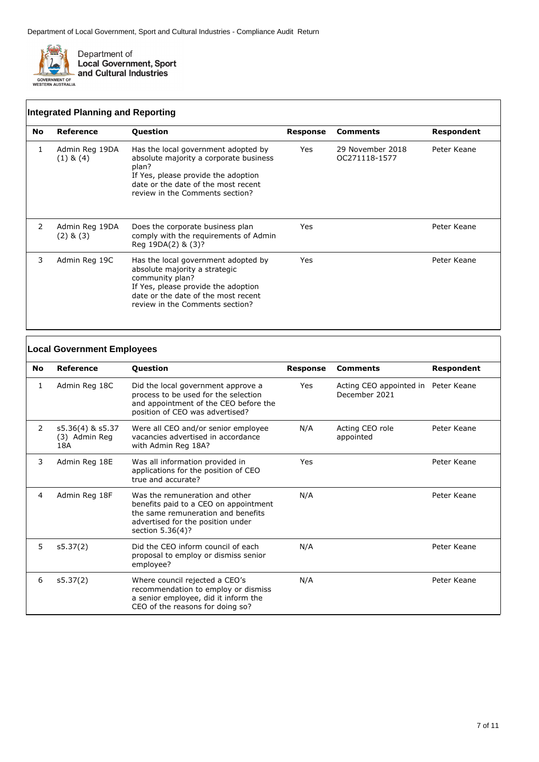

|    | <b>Integrated Planning and Reporting</b> |                                                                                                                                                                                                          |          |                                   |             |
|----|------------------------------------------|----------------------------------------------------------------------------------------------------------------------------------------------------------------------------------------------------------|----------|-----------------------------------|-------------|
| No | Reference                                | <b>Question</b>                                                                                                                                                                                          | Response | <b>Comments</b>                   | Respondent  |
| 1  | Admin Reg 19DA<br>$(1)$ & $(4)$          | Has the local government adopted by<br>absolute majority a corporate business<br>plan?<br>If Yes, please provide the adoption<br>date or the date of the most recent<br>review in the Comments section?  | Yes      | 29 November 2018<br>OC271118-1577 | Peter Keane |
| 2  | Admin Reg 19DA<br>$(2)$ & $(3)$          | Does the corporate business plan<br>comply with the requirements of Admin<br>Reg 19DA(2) & (3)?                                                                                                          | Yes      |                                   | Peter Keane |
| 3  | Admin Reg 19C                            | Has the local government adopted by<br>absolute majority a strategic<br>community plan?<br>If Yes, please provide the adoption<br>date or the date of the most recent<br>review in the Comments section? | Yes      |                                   | Peter Keane |

|     | <b>Local Government Employees</b>        |                                                                                                                                                                        |                 |                                                      |             |
|-----|------------------------------------------|------------------------------------------------------------------------------------------------------------------------------------------------------------------------|-----------------|------------------------------------------------------|-------------|
| No. | Reference                                | <b>Question</b>                                                                                                                                                        | <b>Response</b> | <b>Comments</b>                                      | Respondent  |
| 1   | Admin Reg 18C                            | Did the local government approve a<br>process to be used for the selection<br>and appointment of the CEO before the<br>position of CEO was advertised?                 | Yes             | Acting CEO appointed in Peter Keane<br>December 2021 |             |
| 2   | s5.36(4) & s5.37<br>(3) Admin Reg<br>18A | Were all CEO and/or senior employee<br>vacancies advertised in accordance<br>with Admin Reg 18A?                                                                       | N/A             | Acting CEO role<br>appointed                         | Peter Keane |
| 3   | Admin Reg 18E                            | Was all information provided in<br>applications for the position of CEO<br>true and accurate?                                                                          | Yes             |                                                      | Peter Keane |
| 4   | Admin Reg 18F                            | Was the remuneration and other<br>benefits paid to a CEO on appointment<br>the same remuneration and benefits<br>advertised for the position under<br>section 5.36(4)? | N/A             |                                                      | Peter Keane |
| 5   | s5.37(2)                                 | Did the CEO inform council of each<br>proposal to employ or dismiss senior<br>employee?                                                                                | N/A             |                                                      | Peter Keane |
| 6   | s5.37(2)                                 | Where council rejected a CEO's<br>recommendation to employ or dismiss<br>a senior employee, did it inform the<br>CEO of the reasons for doing so?                      | N/A             |                                                      | Peter Keane |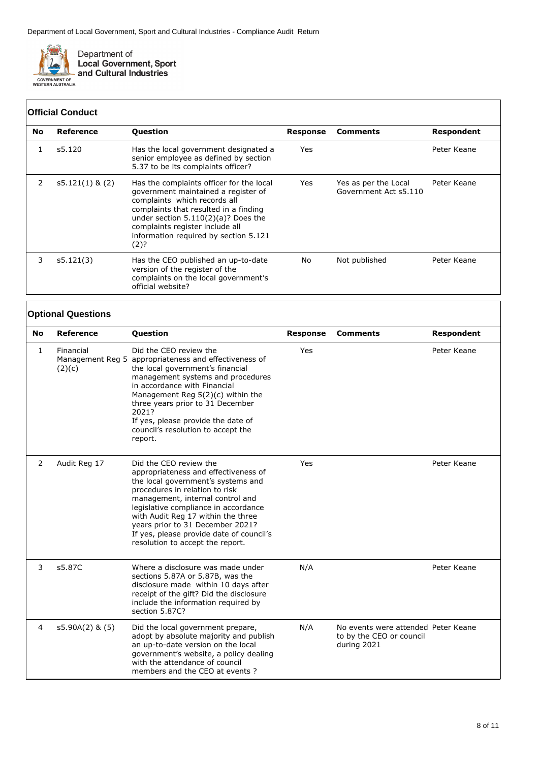

## **Official Conduct**

| No | Reference         | <b>Question</b>                                                                                                                                                                                                                                                                       | Response | <b>Comments</b>                               | Respondent  |
|----|-------------------|---------------------------------------------------------------------------------------------------------------------------------------------------------------------------------------------------------------------------------------------------------------------------------------|----------|-----------------------------------------------|-------------|
|    | s5.120            | Has the local government designated a<br>senior employee as defined by section<br>5.37 to be its complaints officer?                                                                                                                                                                  | Yes      |                                               | Peter Keane |
| 2  | $s5.121(1)$ & (2) | Has the complaints officer for the local<br>government maintained a register of<br>complaints which records all<br>complaints that resulted in a finding<br>under section $5.110(2)(a)?$ Does the<br>complaints register include all<br>information required by section 5.121<br>(2)? | Yes      | Yes as per the Local<br>Government Act s5.110 | Peter Keane |
| 3  | s5.121(3)         | Has the CEO published an up-to-date<br>version of the register of the<br>complaints on the local government's<br>official website?                                                                                                                                                    | No.      | Not published                                 | Peter Keane |

## **Optional Questions**

| <b>No</b>      | <b>Reference</b>    | Question                                                                                                                                                                                                                                                                                                                                                                     | <b>Response</b> | <b>Comments</b>                                                                | <b>Respondent</b> |
|----------------|---------------------|------------------------------------------------------------------------------------------------------------------------------------------------------------------------------------------------------------------------------------------------------------------------------------------------------------------------------------------------------------------------------|-----------------|--------------------------------------------------------------------------------|-------------------|
| $\mathbf{1}$   | Financial<br>(2)(c) | Did the CEO review the<br>Management Reg 5 appropriateness and effectiveness of<br>the local government's financial<br>management systems and procedures<br>in accordance with Financial<br>Management Reg $5(2)(c)$ within the<br>three years prior to 31 December<br>2021?<br>If yes, please provide the date of<br>council's resolution to accept the<br>report.          | Yes             |                                                                                | Peter Keane       |
| 2              | Audit Reg 17        | Did the CEO review the<br>appropriateness and effectiveness of<br>the local government's systems and<br>procedures in relation to risk<br>management, internal control and<br>legislative compliance in accordance<br>with Audit Reg 17 within the three<br>years prior to 31 December 2021?<br>If yes, please provide date of council's<br>resolution to accept the report. | Yes             |                                                                                | Peter Keane       |
| 3              | s5.87C              | Where a disclosure was made under<br>sections 5.87A or 5.87B, was the<br>disclosure made within 10 days after<br>receipt of the gift? Did the disclosure<br>include the information required by<br>section 5.87C?                                                                                                                                                            | N/A             |                                                                                | Peter Keane       |
| $\overline{4}$ | $s5.90A(2)$ & $(5)$ | Did the local government prepare,<br>adopt by absolute majority and publish<br>an up-to-date version on the local<br>government's website, a policy dealing<br>with the attendance of council<br>members and the CEO at events?                                                                                                                                              | N/A             | No events were attended Peter Keane<br>to by the CEO or council<br>during 2021 |                   |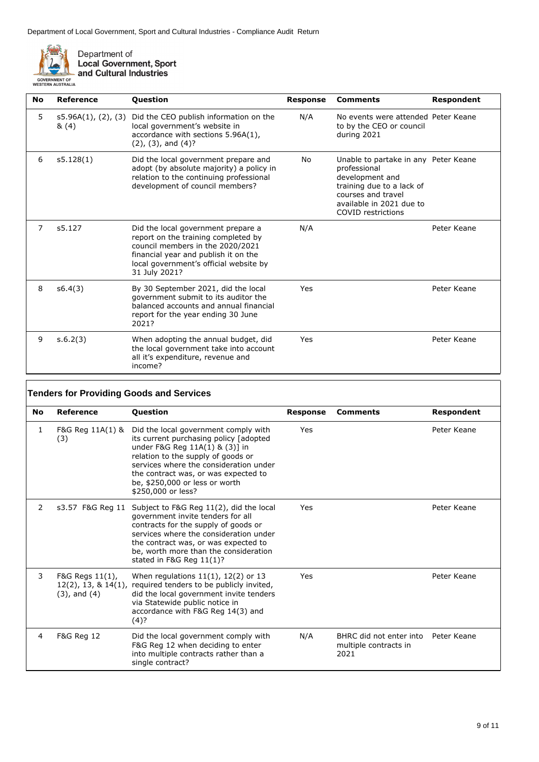

 $\sqrt{2}$ 

Department of<br>Local Government, Sport<br>and Cultural Industries

| <b>No</b> | Reference                   | <b>Question</b>                                                                                                                                                                                                  | <b>Response</b> | <b>Comments</b>                                                                                                                                                              | Respondent  |
|-----------|-----------------------------|------------------------------------------------------------------------------------------------------------------------------------------------------------------------------------------------------------------|-----------------|------------------------------------------------------------------------------------------------------------------------------------------------------------------------------|-------------|
| 5         | s5.96A(1), (2), (3)<br>&(4) | Did the CEO publish information on the<br>local government's website in<br>accordance with sections 5.96A(1),<br>$(2)$ , $(3)$ , and $(4)$ ?                                                                     | N/A             | No events were attended. Peter Keane<br>to by the CEO or council<br>during 2021                                                                                              |             |
| 6         | s5.128(1)                   | Did the local government prepare and<br>adopt (by absolute majority) a policy in<br>relation to the continuing professional<br>development of council members?                                                   | No              | Unable to partake in any Peter Keane<br>professional<br>development and<br>training due to a lack of<br>courses and travel<br>available in 2021 due to<br>COVID restrictions |             |
| 7         | s5.127                      | Did the local government prepare a<br>report on the training completed by<br>council members in the 2020/2021<br>financial year and publish it on the<br>local government's official website by<br>31 July 2021? | N/A             |                                                                                                                                                                              | Peter Keane |
| 8         | s6.4(3)                     | By 30 September 2021, did the local<br>government submit to its auditor the<br>balanced accounts and annual financial<br>report for the year ending 30 June<br>2021?                                             | Yes             |                                                                                                                                                                              | Peter Keane |
| 9         | s.6.2(3)                    | When adopting the annual budget, did<br>the local government take into account<br>all it's expenditure, revenue and<br>income?                                                                                   | Yes             |                                                                                                                                                                              | Peter Keane |

| <b>Tenders for Providing Goods and Services</b> |                                      |                                                                                                                                                                                                                                                                                                                   |                 |                                                          |             |
|-------------------------------------------------|--------------------------------------|-------------------------------------------------------------------------------------------------------------------------------------------------------------------------------------------------------------------------------------------------------------------------------------------------------------------|-----------------|----------------------------------------------------------|-------------|
| <b>No</b>                                       | Reference                            | <b>Question</b>                                                                                                                                                                                                                                                                                                   | <b>Response</b> | <b>Comments</b>                                          | Respondent  |
| 1                                               | (3)                                  | F&G Reg 11A(1) & Did the local government comply with<br>its current purchasing policy [adopted<br>under F&G Reg 11A(1) & (3)] in<br>relation to the supply of goods or<br>services where the consideration under<br>the contract was, or was expected to<br>be, \$250,000 or less or worth<br>\$250,000 or less? | Yes             |                                                          | Peter Keane |
| 2                                               |                                      | s3.57 F&G Reg 11 Subject to F&G Reg 11(2), did the local<br>government invite tenders for all<br>contracts for the supply of goods or<br>services where the consideration under<br>the contract was, or was expected to<br>be, worth more than the consideration<br>stated in F&G Reg $11(1)$ ?                   | Yes             |                                                          | Peter Keane |
| 3                                               | F&G Regs 11(1),<br>$(3)$ , and $(4)$ | When regulations $11(1)$ , $12(2)$ or 13<br>12(2), 13, & 14(1), required tenders to be publicly invited,<br>did the local government invite tenders<br>via Statewide public notice in<br>accordance with F&G Reg 14(3) and<br>$(4)$ ?                                                                             | Yes             |                                                          | Peter Keane |
| $\overline{4}$                                  | <b>F&amp;G Reg 12</b>                | Did the local government comply with<br>F&G Reg 12 when deciding to enter<br>into multiple contracts rather than a<br>single contract?                                                                                                                                                                            | N/A             | BHRC did not enter into<br>multiple contracts in<br>2021 | Peter Keane |

٦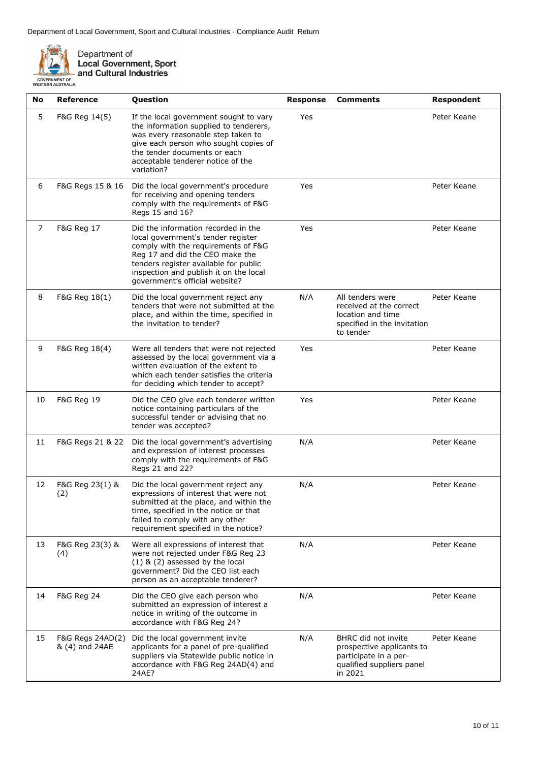

Department of<br>Local Government, Sport<br>and Cultural Industries

| No             | <b>Reference</b>                   | Question                                                                                                                                                                                                                                                                 | <b>Response</b> | <b>Comments</b>                                                                                                   | Respondent  |
|----------------|------------------------------------|--------------------------------------------------------------------------------------------------------------------------------------------------------------------------------------------------------------------------------------------------------------------------|-----------------|-------------------------------------------------------------------------------------------------------------------|-------------|
| 5              | F&G Reg 14(5)                      | If the local government sought to vary<br>the information supplied to tenderers,<br>was every reasonable step taken to<br>give each person who sought copies of<br>the tender documents or each<br>acceptable tenderer notice of the<br>variation?                       | Yes             |                                                                                                                   | Peter Keane |
| 6              | F&G Regs 15 & 16                   | Did the local government's procedure<br>for receiving and opening tenders<br>comply with the requirements of F&G<br>Regs 15 and 16?                                                                                                                                      | Yes             |                                                                                                                   | Peter Keane |
| $\overline{7}$ | F&G Reg 17                         | Did the information recorded in the<br>local government's tender register<br>comply with the requirements of F&G<br>Reg 17 and did the CEO make the<br>tenders register available for public<br>inspection and publish it on the local<br>government's official website? | Yes             |                                                                                                                   | Peter Keane |
| 8              | F&G Reg 18(1)                      | Did the local government reject any<br>tenders that were not submitted at the<br>place, and within the time, specified in<br>the invitation to tender?                                                                                                                   | N/A             | All tenders were<br>received at the correct<br>location and time<br>specified in the invitation<br>to tender      | Peter Keane |
| 9              | F&G Reg 18(4)                      | Were all tenders that were not rejected<br>assessed by the local government via a<br>written evaluation of the extent to<br>which each tender satisfies the criteria<br>for deciding which tender to accept?                                                             | Yes             |                                                                                                                   | Peter Keane |
| 10             | F&G Reg 19                         | Did the CEO give each tenderer written<br>notice containing particulars of the<br>successful tender or advising that no<br>tender was accepted?                                                                                                                          | Yes             |                                                                                                                   | Peter Keane |
| 11             | F&G Regs 21 & 22                   | Did the local government's advertising<br>and expression of interest processes<br>comply with the requirements of F&G<br>Regs 21 and 22?                                                                                                                                 | N/A             |                                                                                                                   | Peter Keane |
| 12             | F&G Reg 23(1) &<br>(2)             | Did the local government reject any<br>expressions of interest that were not<br>submitted at the place, and within the<br>time, specified in the notice or that<br>failed to comply with any other<br>requirement specified in the notice?                               | N/A             |                                                                                                                   | Peter Keane |
| 13             | F&G Reg 23(3) &<br>(4)             | Were all expressions of interest that<br>were not rejected under F&G Reg 23<br>$(1)$ & $(2)$ assessed by the local<br>government? Did the CEO list each<br>person as an acceptable tenderer?                                                                             | N/A             |                                                                                                                   | Peter Keane |
| 14             | <b>F&amp;G Reg 24</b>              | Did the CEO give each person who<br>submitted an expression of interest a<br>notice in writing of the outcome in<br>accordance with F&G Reg 24?                                                                                                                          | N/A             |                                                                                                                   | Peter Keane |
| 15             | F&G Regs 24AD(2)<br>& (4) and 24AE | Did the local government invite<br>applicants for a panel of pre-qualified<br>suppliers via Statewide public notice in<br>accordance with F&G Reg 24AD(4) and<br>24AE?                                                                                                   | N/A             | BHRC did not invite<br>prospective applicants to<br>participate in a per-<br>qualified suppliers panel<br>in 2021 | Peter Keane |